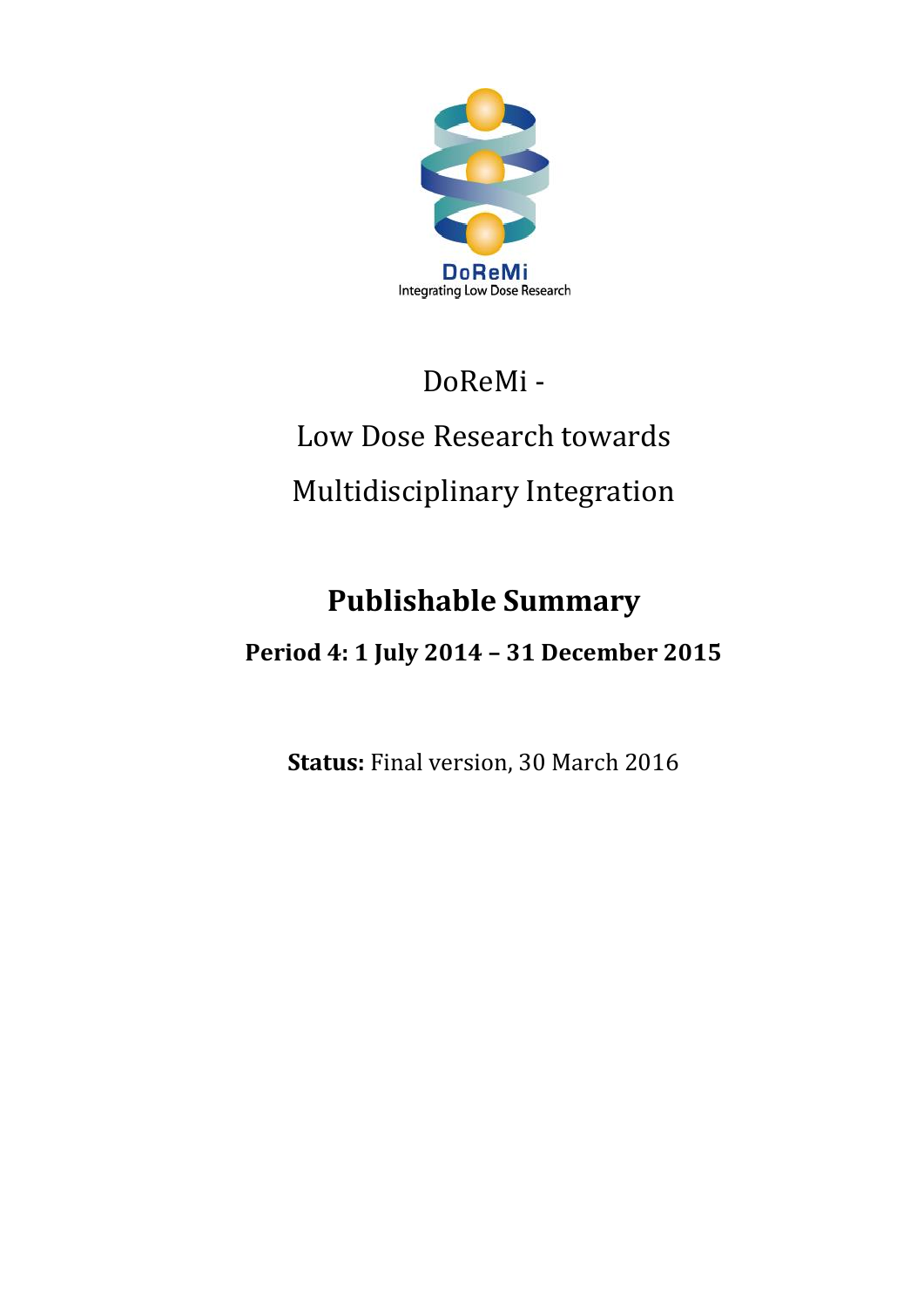

## DoReMi -

# Low Dose Research towards Multidisciplinary Integration

## **Publishable Summary**

### **Period 4: 1 July 2014 – 31 December 2015**

**Status:** Final version, 30 March 2016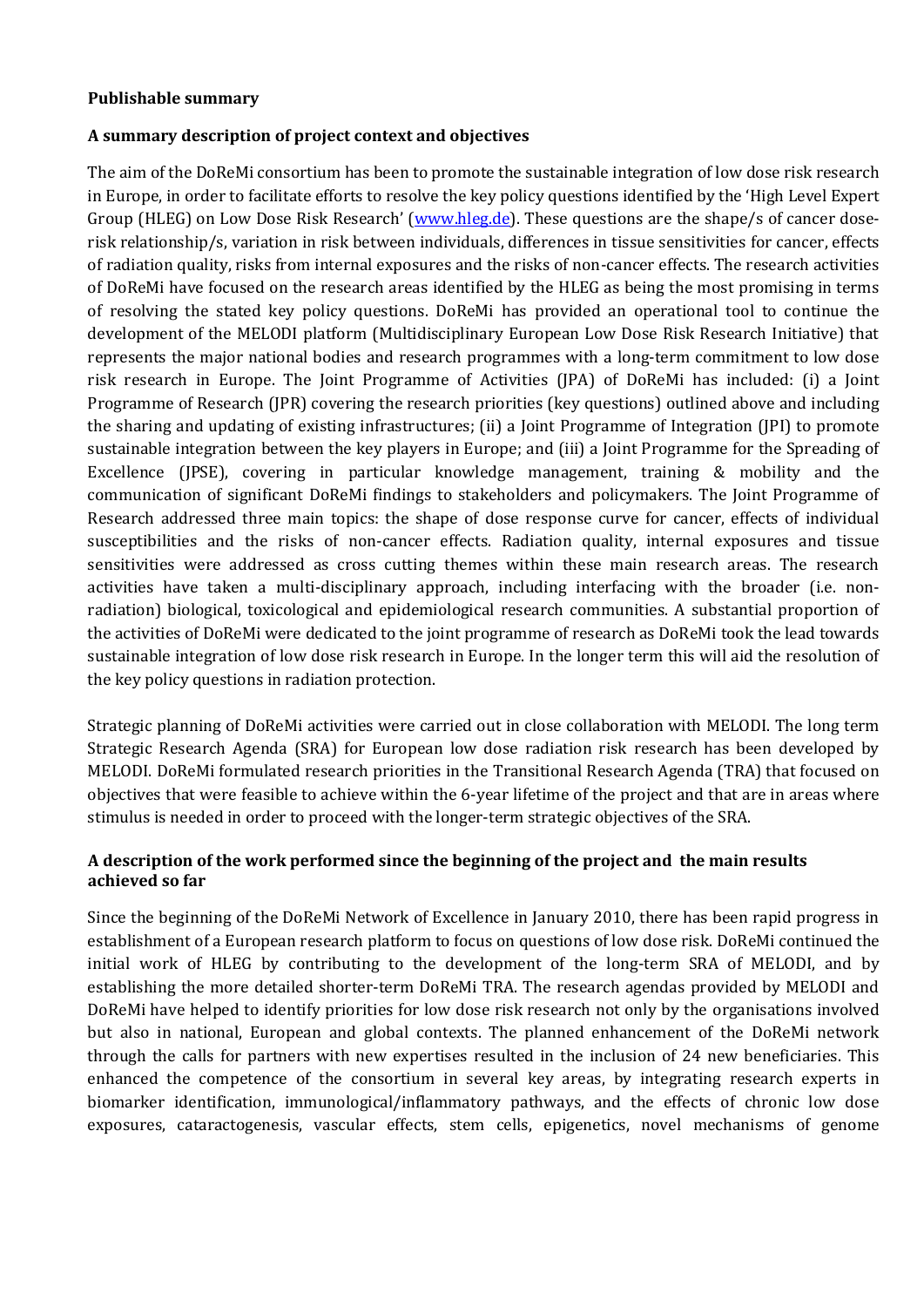#### **Publishable summary**

#### **A summary description of project context and objectives**

The aim of the DoReMi consortium has been to promote the sustainable integration of low dose risk research in Europe, in order to facilitate efforts to resolve the key policy questions identified by the 'High Level Expert Group (HLEG) on Low Dose Risk Research' ([www.hleg.de\)](file:///G:/AppData/Users/wh234853/AppData/Local/Microsoft/Documents%20and%20Settings/simon.Bouffler/simon.Bouffler/Local%20Settings/DOCUME~1/Me/LOCALS~1/Temp/DoReMi/Documents%20and%20Settings/Jacob/Local%20Settings/Temp/www.hleg.de). These questions are the shape/s of cancer doserisk relationship/s, variation in risk between individuals, differences in tissue sensitivities for cancer, effects of radiation quality, risks from internal exposures and the risks of non-cancer effects. The research activities of DoReMi have focused on the research areas identified by the HLEG as being the most promising in terms of resolving the stated key policy questions. DoReMi has provided an operational tool to continue the development of the MELODI platform (Multidisciplinary European Low Dose Risk Research Initiative) that represents the major national bodies and research programmes with a long-term commitment to low dose risk research in Europe. The Joint Programme of Activities (JPA) of DoReMi has included: (i) a Joint Programme of Research (JPR) covering the research priorities (key questions) outlined above and including the sharing and updating of existing infrastructures; (ii) a Joint Programme of Integration (JPI) to promote sustainable integration between the key players in Europe; and (iii) a Joint Programme for the Spreading of Excellence (JPSE), covering in particular knowledge management, training & mobility and the communication of significant DoReMi findings to stakeholders and policymakers. The Joint Programme of Research addressed three main topics: the shape of dose response curve for cancer, effects of individual susceptibilities and the risks of non-cancer effects. Radiation quality, internal exposures and tissue sensitivities were addressed as cross cutting themes within these main research areas. The research activities have taken a multi-disciplinary approach, including interfacing with the broader (i.e. nonradiation) biological, toxicological and epidemiological research communities. A substantial proportion of the activities of DoReMi were dedicated to the joint programme of research as DoReMi took the lead towards sustainable integration of low dose risk research in Europe. In the longer term this will aid the resolution of the key policy questions in radiation protection.

Strategic planning of DoReMi activities were carried out in close collaboration with MELODI. The long term Strategic Research Agenda (SRA) for European low dose radiation risk research has been developed by MELODI. DoReMi formulated research priorities in the Transitional Research Agenda (TRA) that focused on objectives that were feasible to achieve within the 6-year lifetime of the project and that are in areas where stimulus is needed in order to proceed with the longer-term strategic objectives of the SRA.

#### **A description of the work performed since the beginning of the project and the main results achieved so far**

Since the beginning of the DoReMi Network of Excellence in January 2010, there has been rapid progress in establishment of a European research platform to focus on questions of low dose risk. DoReMi continued the initial work of HLEG by contributing to the development of the long-term SRA of MELODI, and by establishing the more detailed shorter-term DoReMi TRA. The research agendas provided by MELODI and DoReMi have helped to identify priorities for low dose risk research not only by the organisations involved but also in national, European and global contexts. The planned enhancement of the DoReMi network through the calls for partners with new expertises resulted in the inclusion of 24 new beneficiaries. This enhanced the competence of the consortium in several key areas, by integrating research experts in biomarker identification, immunological/inflammatory pathways, and the effects of chronic low dose exposures, cataractogenesis, vascular effects, stem cells, epigenetics, novel mechanisms of genome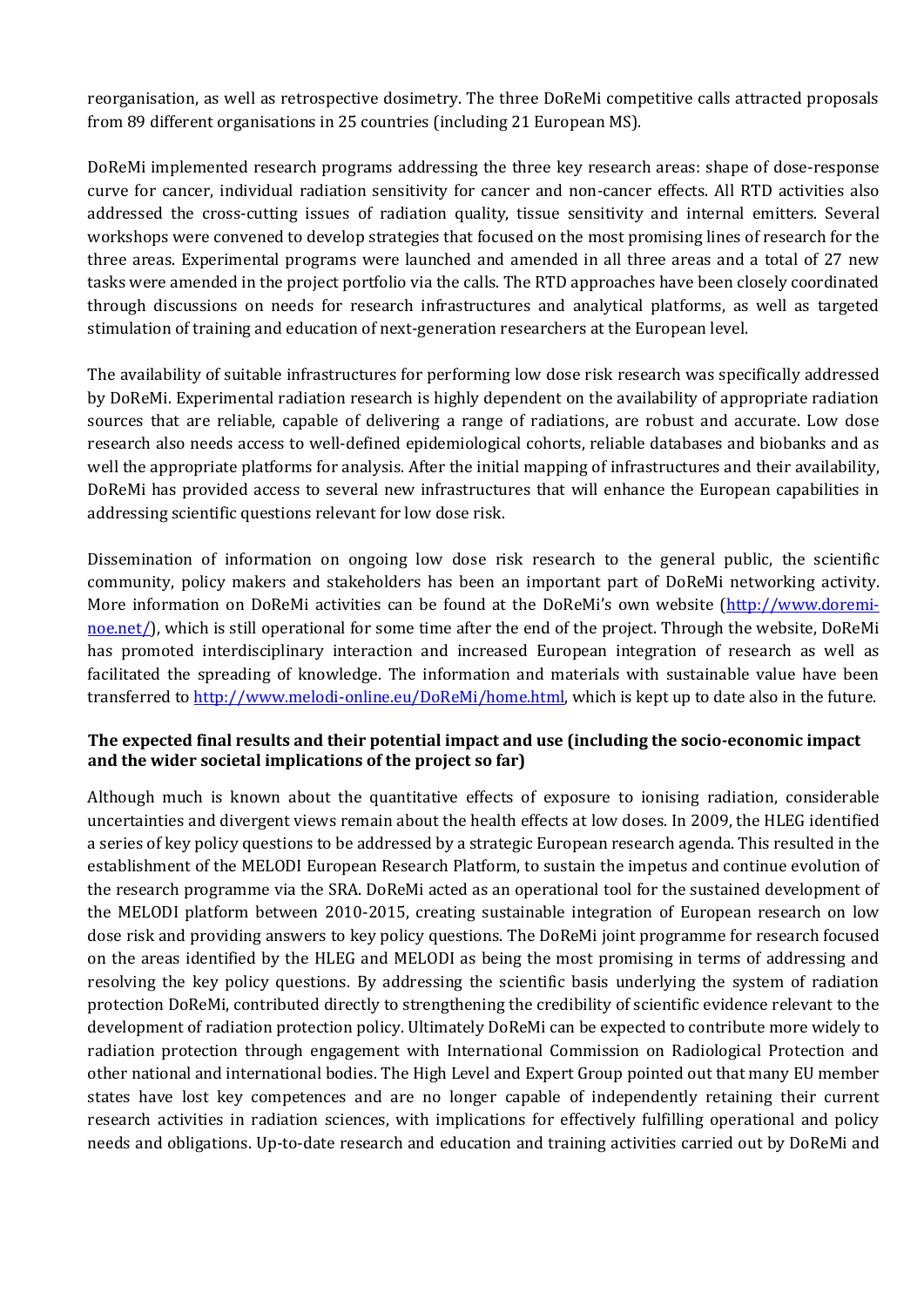reorganisation, as well as retrospective dosimetry. The three DoReMi competitive calls attracted proposals from 89 different organisations in 25 countries (including 21 European MS).

DoReMi implemented research programs addressing the three key research areas: shape of dose-response curve for cancer, individual radiation sensitivity for cancer and non-cancer effects. All RTD activities also addressed the cross-cutting issues of radiation quality, tissue sensitivity and internal emitters. Several workshops were convened to develop strategies that focused on the most promising lines of research for the three areas. Experimental programs were launched and amended in all three areas and a total of 27 new tasks were amended in the project portfolio via the calls. The RTD approaches have been closely coordinated through discussions on needs for research infrastructures and analytical platforms, as well as targeted stimulation of training and education of next-generation researchers at the European level.

The availability of suitable infrastructures for performing low dose risk research was specifically addressed by DoReMi. Experimental radiation research is highly dependent on the availability of appropriate radiation sources that are reliable, capable of delivering a range of radiations, are robust and accurate. Low dose research also needs access to well-defined epidemiological cohorts, reliable databases and biobanks and as well the appropriate platforms for analysis. After the initial mapping of infrastructures and their availability, DoReMi has provided access to several new infrastructures that will enhance the European capabilities in addressing scientific questions relevant for low dose risk.

Dissemination of information on ongoing low dose risk research to the general public, the scientific community, policy makers and stakeholders has been an important part of DoReMi networking activity. More information on DoReMi activities can be found at the DoReMi's own website [\(http://www.doremi](http://www.doremi-noe.net/)[noe.net/\)](http://www.doremi-noe.net/), which is still operational for some time after the end of the project. Through the website, DoReMi has promoted interdisciplinary interaction and increased European integration of research as well as facilitated the spreading of knowledge. The information and materials with sustainable value have been transferred to [http://www.melodi-online.eu/DoReMi/home.html,](http://www.melodi-online.eu/DoReMi/home.html) which is kept up to date also in the future.

#### **The expected final results and their potential impact and use (including the socio-economic impact and the wider societal implications of the project so far)**

Although much is known about the quantitative effects of exposure to ionising radiation, considerable uncertainties and divergent views remain about the health effects at low doses. In 2009, the HLEG identified a series of key policy questions to be addressed by a strategic European research agenda. This resulted in the establishment of the MELODI European Research Platform, to sustain the impetus and continue evolution of the research programme via the SRA. DoReMi acted as an operational tool for the sustained development of the MELODI platform between 2010-2015, creating sustainable integration of European research on low dose risk and providing answers to key policy questions. The DoReMi joint programme for research focused on the areas identified by the HLEG and MELODI as being the most promising in terms of addressing and resolving the key policy questions. By addressing the scientific basis underlying the system of radiation protection DoReMi, contributed directly to strengthening the credibility of scientific evidence relevant to the development of radiation protection policy. Ultimately DoReMi can be expected to contribute more widely to radiation protection through engagement with International Commission on Radiological Protection and other national and international bodies. The High Level and Expert Group pointed out that many EU member states have lost key competences and are no longer capable of independently retaining their current research activities in radiation sciences, with implications for effectively fulfilling operational and policy needs and obligations. Up-to-date research and education and training activities carried out by DoReMi and